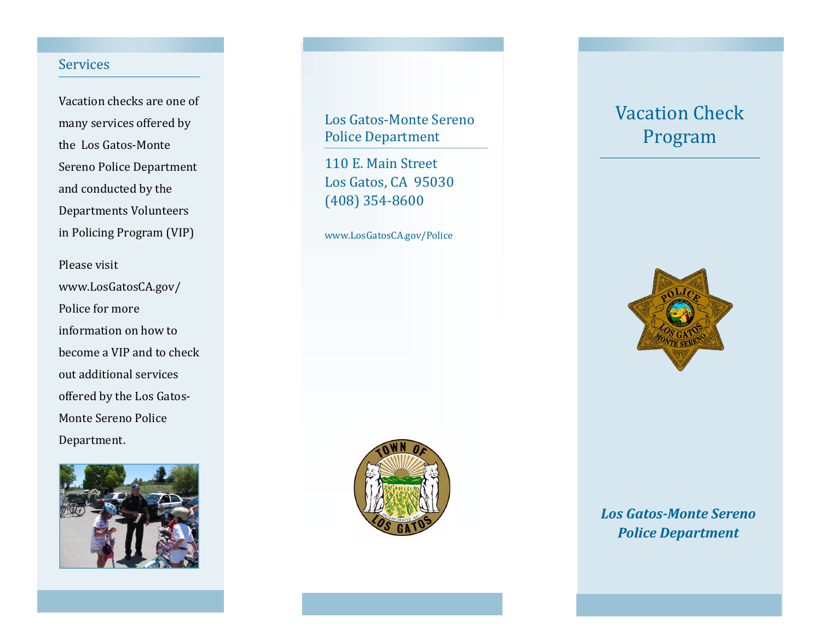#### **Services**

Vacation checks are one of many services offered by the Los Gatos-Monte Sereno Police Department and conducted by the Departments Volunteers in Policing Program (VIP)

Please visit www.LosGatosCA.gov/ Police for more information on how to become a VIP and to check out additional services offered by the Los Gatos-Monte Sereno Police Department.



## Los Gatos-Monte Sereno Police Department

110 E. Main Street Los Gatos, CA 95030 (408) 354-8600

www.LosGatosCA.gov/Police



# Vacation Check Program



*Los Gatos-Monte Sereno Police Department*